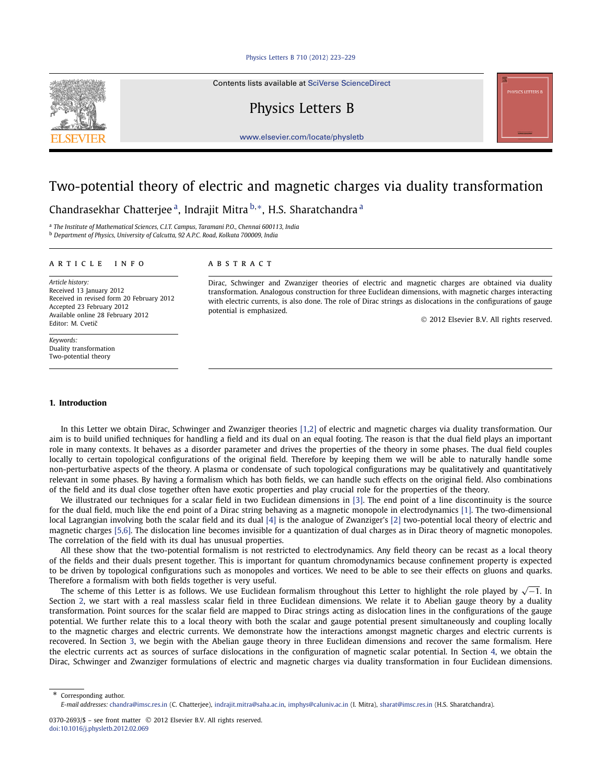### [Physics Letters B 710 \(2012\) 223–229](http://dx.doi.org/10.1016/j.physletb.2012.02.069)

Contents lists available at [SciVerse ScienceDirect](http://www.ScienceDirect.com/)

## Physics Letters B

[www.elsevier.com/locate/physletb](http://www.elsevier.com/locate/physletb)

# Two-potential theory of electric and magnetic charges via duality transformation

Chandrasekhar Chatterjee a, Indrajit Mitra <sup>b</sup>*,*∗, H.S. Sharatchandra <sup>a</sup>

<sup>a</sup> *The Institute of Mathematical Sciences, C.I.T. Campus, Taramani P.O., Chennai 600113, India* <sup>b</sup> *Department of Physics, University of Calcutta, 92 A.P.C. Road, Kolkata 700009, India*

#### article info abstract

*Article history:* Received 13 January 2012 Received in revised form 20 February 2012 Accepted 23 February 2012 Available online 28 February 2012 Editor: M. Cvetič

*Keywords:* Duality transformation Two-potential theory

Dirac, Schwinger and Zwanziger theories of electric and magnetic charges are obtained via duality transformation. Analogous construction for three Euclidean dimensions, with magnetic charges interacting with electric currents, is also done. The role of Dirac strings as dislocations in the configurations of gauge potential is emphasized.

© 2012 Elsevier B.V. All rights reserved.

## **1. Introduction**

In this Letter we obtain Dirac, Schwinger and Zwanziger theories [\[1,2\]](#page-6-0) of electric and magnetic charges via duality transformation. Our aim is to build unified techniques for handling a field and its dual on an equal footing. The reason is that the dual field plays an important role in many contexts. It behaves as a disorder parameter and drives the properties of the theory in some phases. The dual field couples locally to certain topological configurations of the original field. Therefore by keeping them we will be able to naturally handle some non-perturbative aspects of the theory. A plasma or condensate of such topological configurations may be qualitatively and quantitatively relevant in some phases. By having a formalism which has both fields, we can handle such effects on the original field. Also combinations of the field and its dual close together often have exotic properties and play crucial role for the properties of the theory.

We illustrated our techniques for a scalar field in two Euclidean dimensions in [\[3\].](#page-6-0) The end point of a line discontinuity is the source for the dual field, much like the end point of a Dirac string behaving as a magnetic monopole in electrodynamics [\[1\].](#page-6-0) The two-dimensional local Lagrangian involving both the scalar field and its dual [\[4\]](#page-6-0) is the analogue of Zwanziger's [\[2\]](#page-6-0) two-potential local theory of electric and magnetic charges [\[5,6\].](#page-6-0) The dislocation line becomes invisible for a quantization of dual charges as in Dirac theory of magnetic monopoles. The correlation of the field with its dual has unusual properties.

All these show that the two-potential formalism is not restricted to electrodynamics. Any field theory can be recast as a local theory of the fields and their duals present together. This is important for quantum chromodynamics because confinement property is expected to be driven by topological configurations such as monopoles and vortices. We need to be able to see their effects on gluons and quarks. Therefore a formalism with both fields together is very useful.

The scheme of this Letter is as follows. We use Euclidean formalism throughout this Letter to highlight the role played by  $\sqrt{-1}$ . In Section [2,](#page-1-0) we start with a real massless scalar field in three Euclidean dimensions. We relate it to Abelian gauge theory by a duality transformation. Point sources for the scalar field are mapped to Dirac strings acting as dislocation lines in the configurations of the gauge potential. We further relate this to a local theory with both the scalar and gauge potential present simultaneously and coupling locally to the magnetic charges and electric currents. We demonstrate how the interactions amongst magnetic charges and electric currents is recovered. In Section [3,](#page-3-0) we begin with the Abelian gauge theory in three Euclidean dimensions and recover the same formalism. Here the electric currents act as sources of surface dislocations in the configuration of magnetic scalar potential. In Section [4,](#page-4-0) we obtain the Dirac, Schwinger and Zwanziger formulations of electric and magnetic charges via duality transformation in four Euclidean dimensions.

Corresponding author.



*E-mail addresses:* [chandra@imsc.res.in](mailto:chandra@imsc.res.in) (C. Chatterjee), [indrajit.mitra@saha.ac.in,](mailto:indrajit.mitra@saha.ac.in) [imphys@caluniv.ac.in](mailto:imphys@caluniv.ac.in) (I. Mitra), [sharat@imsc.res.in](mailto:sharat@imsc.res.in) (H.S. Sharatchandra).

<sup>0370-2693/\$ –</sup> see front matter © 2012 Elsevier B.V. All rights reserved. [doi:10.1016/j.physletb.2012.02.069](http://dx.doi.org/10.1016/j.physletb.2012.02.069)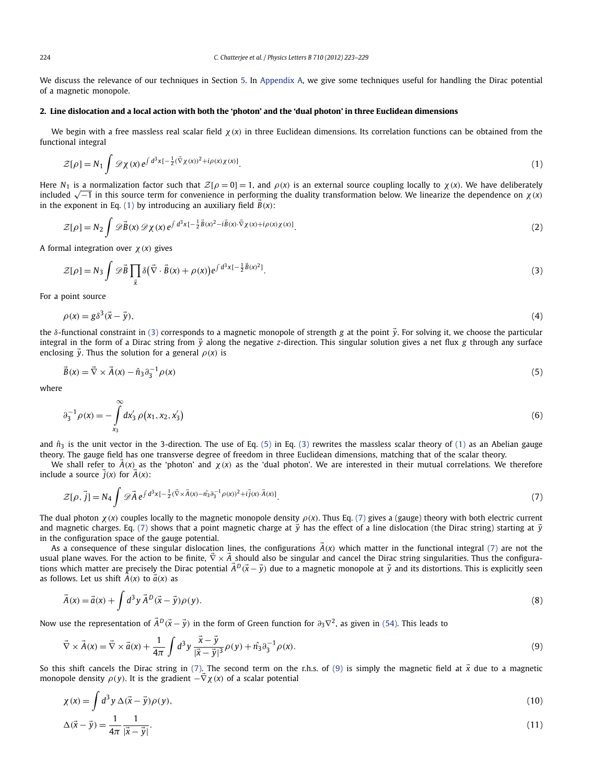<span id="page-1-0"></span>We discuss the relevance of our techniques in Section [5.](#page-5-0) In [Appendix A,](#page-6-0) we give some techniques useful for handling the Dirac potential of a magnetic monopole.

## **2. Line dislocation and a local action with both the 'photon' and the 'dual photon' in three Euclidean dimensions**

We begin with a free massless real scalar field  $\chi(x)$  in three Euclidean dimensions. Its correlation functions can be obtained from the functional integral

$$
\mathcal{Z}[\rho] = N_1 \int \mathcal{D}\chi(x) e^{\int d^3x \left[-\frac{1}{2}(\vec{\nabla}\chi(x))^2 + i\rho(x)\chi(x)\right]}\tag{1}
$$

Here  $N_1$  is a normalization factor such that  $\mathcal{Z}[\rho = 0] = 1$ , and  $\rho(x)$  is an external source coupling locally to  $\chi(x)$ . We have deliberately included √−1 in this source term for convenience in performing the duality transformation below. We linearize the dependence on *χ(x)* in the exponent in Eq. (1) by introducing an auxiliary field  $\vec{B}(x)$ :

$$
\mathcal{Z}[\rho] = N_2 \int \mathscr{D}\vec{B}(x) \mathscr{D}\chi(x) e^{\int d^3x \left[-\frac{1}{2}\vec{B}(x)^2 - i\vec{B}(x) \cdot \vec{\nabla}\chi(x) + i\rho(x)\chi(x)\right]}.
$$
\n(2)

A formal integration over *χ(x)* gives

 $|\vec{x} - \vec{y}|$ 

$$
\mathcal{Z}[\rho] = N_3 \int \mathscr{D}\vec{B} \prod_{\vec{x}} \delta(\vec{\nabla} \cdot \vec{B}(x) + \rho(x)) e^{\int d^3x \left[-\frac{1}{2}\vec{B}(x)^2\right]}.
$$
\n(3)

For a point source

$$
\rho(x) = g\delta^3(\vec{x} - \vec{y}),\tag{4}
$$

the *δ*-functional constraint in (3) corresponds to a magnetic monopole of strength *g* at the point *y*. For solving it, we choose the particular integral in the form of a Dirac string from *y* along the negative *z*-direction. This singular solution gives a net flux *g* through any surface enclosing  $\vec{v}$ . Thus the solution for a general  $\rho(x)$  is

$$
\vec{B}(x) = \vec{\nabla} \times \vec{A}(x) - \hat{n}_3 \partial_3^{-1} \rho(x)
$$
\n(5)

where

$$
\partial_3^{-1} \rho(x) = -\int_{x_3}^{\infty} dx'_3 \, \rho(x_1, x_2, x'_3) \tag{6}
$$

and  $\hat{n}_3$  is the unit vector in the 3-direction. The use of Eq. (5) in Eq. (3) rewrites the massless scalar theory of (1) as an Abelian gauge theory. The gauge field has one transverse degree of freedom in three Euclidean dimensions, matching that of the scalar theory.

We shall refer to  $\vec{A}(x)$  as the 'photon' and  $\chi(x)$  as the 'dual photon'. We are interested in their mutual correlations. We therefore include a source  $\overrightarrow{j}(x)$  for  $\overrightarrow{A}(x)$ :

$$
\mathcal{Z}[\rho,\vec{j}] = N_4 \int \mathscr{D}\vec{A} e^{\int d^3x \left[-\frac{1}{2}(\vec{\nabla}\times\vec{A}(x) - \hat{n_3}\partial_{\vec{3}}^{-1}\rho(x))^2 + i\vec{j}(x)\cdot\vec{A}(x)\right]}.
$$
\n(7)

The dual photon  $\chi(x)$  couples locally to the magnetic monopole density  $\rho(x)$ . Thus Eq. (7) gives a (gauge) theory with both electric current and magnetic charges. Eq. (7) shows that a point magnetic charge at  $\vec{y}$  has the effect of a line dislocation (the Dirac string) starting at  $\vec{y}$ in the configuration space of the gauge potential.

As a consequence of these singular dislocation lines, the configurations  $\vec{A}(x)$  which matter in the functional integral (7) are not the usual plane waves. For the action to be finite,  $\vec{\nabla} \times \vec{A}$  should also be singular and cancel the Dirac string singularities. Thus the configurations which matter are precisely the Dirac potential  $\vec{A}^D(\vec{x}-\vec{y})$  due to a magnetic monopole at  $\vec{y}$  and its distortions. This is explicitly seen as follows. Let us shift  $\vec{A}(x)$  to  $\vec{a}(x)$  as

$$
\vec{A}(x) = \vec{a}(x) + \int d^3y \,\vec{A}^D(\vec{x} - \vec{y})\rho(y). \tag{8}
$$

Now use the representation of  $\vec{A}^D(\vec{x}-\vec{y})$  in the form of Green function for  $\partial_3\nabla^2$ , as given in [\(54\).](#page-6-0) This leads to

$$
\vec{\nabla} \times \vec{A}(x) = \vec{\nabla} \times \vec{a}(x) + \frac{1}{4\pi} \int d^3 y \, \frac{\vec{x} - \vec{y}}{|\vec{x} - \vec{y}|^3} \rho(y) + \hat{n_3} \partial_3^{-1} \rho(x). \tag{9}
$$

So this shift cancels the Dirac string in (7). The second term on the r.h.s. of (9) is simply the magnetic field at  $\vec{x}$  due to a magnetic monopole density  $\rho(y)$ . It is the gradient  $-\vec{\nabla}\chi(x)$  of a scalar potential

$$
\chi(x) = \int d^3 y \,\Delta(\vec{x} - \vec{y}) \rho(y),
$$
  
\n
$$
\Delta(\vec{x} - \vec{y}) = \frac{1}{4\pi} \frac{1}{|\vec{x} - \vec{y}|}.
$$
\n(10)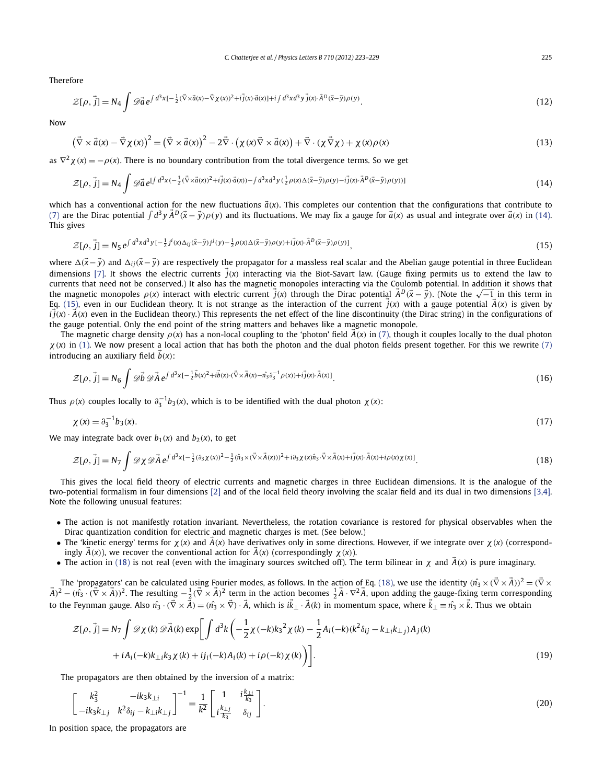<span id="page-2-0"></span>Therefore

$$
\mathcal{Z}[\rho, \vec{j}] = N_4 \int \mathcal{D}\vec{a} e^{\int d^3x \left[-\frac{1}{2}(\vec{\nabla}\times\vec{a}(x) - \vec{\nabla}\chi(x))^2 + i\vec{j}(x)\cdot\vec{a}(x)\right] + i\int d^3x d^3y \, \vec{j}(x) \cdot \vec{A}^D(\vec{x} - \vec{y})\rho(y)}.
$$
\n(12)

Now

$$
\left(\vec{\nabla}\times\vec{a}(x)-\vec{\nabla}\chi(x)\right)^{2}=\left(\vec{\nabla}\times\vec{a}(x)\right)^{2}-2\vec{\nabla}\cdot\left(\chi(x)\vec{\nabla}\times\vec{a}(x)\right)+\vec{\nabla}\cdot\left(\chi(\vec{\nabla}\chi)+\chi(x)\rho(x)\right)
$$
\n(13)

as  $\nabla^2 \chi(x) = -\rho(x)$ . There is no boundary contribution from the total divergence terms. So we get

$$
\mathcal{Z}[\rho, \vec{j}] = N_4 \int \mathcal{D}\vec{a} e^{\int d^3x \left(-\frac{1}{2}(\vec{\nabla}\times\vec{a}(x))^2 + i\vec{j}(x)\cdot\vec{a}(x)\right) - \int d^3x d^3y \left(\frac{1}{2}\rho(x)\Delta(\vec{x}-\vec{y})\rho(y) - i\vec{j}(x)\cdot\vec{A}^D(\vec{x}-\vec{y})\rho(y)\right)\right]}
$$
(14)

which has a conventional action for the new fluctuations  $\vec{a}(x)$ . This completes our contention that the configurations that contribute to [\(7\)](#page-1-0) are the Dirac potential  $\int d^3y \, \vec{A}^D(\vec{x}-\vec{y})\rho(y)$  and its fluctuations. We may fix a gauge for  $\vec{a}(x)$  as usual and integrate over  $\vec{a}(x)$  in (14). This gives

$$
\mathcal{Z}[\rho,\vec{j}] = N_5 e^{\int d^3x d^3y \left[-\frac{1}{2}j^i(x)\Delta_{ij}(\vec{x}-\vec{y})j^j(y) - \frac{1}{2}\rho(x)\Delta(\vec{x}-\vec{y})\rho(y) + i\vec{j}(x)\cdot\vec{A}^D(\vec{x}-\vec{y})\rho(y)\right]},
$$
\n(15)

where  $\Delta(\vec{x}-\vec{y})$  and  $\Delta_{ij}(\vec{x}-\vec{y})$  are respectively the propagator for a massless real scalar and the Abelian gauge potential in three Euclidean dimensions [\[7\].](#page-6-0) It shows the electric currents  $\vec{j}(x)$  interacting via the Biot-Savart law. (Gauge fixing permits us to extend the law to currents that need not be conserved.) It also has the magnetic monopoles interacting via the Coulomb potential. In addition it shows that the magnetic monopoles  $\rho(x)$  interact with electric current  $\vec{j}(x)$  through the Dirac potential  $\vec{A}^D(\vec{x} - \vec{y})$ . (Note the  $\sqrt{-1}$  in this term in Eq. (15), even in our Euclidean theory. It is not strange as the interaction of the current  $\vec{j}(x)$  with a gauge potential  $\vec{A}(x)$  is given by  $i j(x) \cdot A(x)$  even in the Euclidean theory.) This represents the net effect of the line discontinuity (the Dirac string) in the configurations of the gauge potential. Only the end point of the string matters and behaves like a magnetic monopole.

The magnetic charge density  $\rho(x)$  has a non-local coupling to the 'photon' field  $\vec{A}(x)$  in [\(7\),](#page-1-0) though it couples locally to the dual photon  $\chi(x)$  in [\(1\).](#page-1-0) We now present a local action that has both the photon and the dual photon fields present together. For this we rewrite [\(7\)](#page-1-0) introducing an auxiliary field *b(x)*:

$$
\mathcal{Z}[\rho,\vec{j}] = N_6 \int \mathscr{D}\vec{b} \mathscr{D}\vec{A} e^{\int d^3x \left[-\frac{1}{2}\vec{b}(x)^2 + i\vec{b}(x)\cdot(\vec{\nabla}\times\vec{A}(x) - \hat{n_3}\partial_{\vec{a}}^{-1}\rho(x)) + i\vec{j}(x)\cdot\vec{A}(x)\right]}.
$$
\n(16)

Thus  $\rho(x)$  couples locally to  $\partial_3^{-1}b_3(x)$ , which is to be identified with the dual photon  $\chi(x)$ :

$$
\chi(x) = \partial_3^{-1} b_3(x). \tag{17}
$$

We may integrate back over  $b_1(x)$  and  $b_2(x)$ , to get

$$
\mathcal{Z}[\rho,\vec{j}] = N_7 \int \mathcal{D}\chi \mathcal{D}\vec{A} e^{\int d^3x \left[-\frac{1}{2}(\partial_3\chi(x))^2 - \frac{1}{2}(\hat{n}_3 \times (\vec{\nabla}\times\vec{A}(x)))^2 + i\partial_3\chi(x)\hat{n}_3 \cdot \vec{\nabla}\times\vec{A}(x) + i\vec{j}(x) \cdot \vec{A}(x) + i\rho(x)\chi(x)\right]}.
$$
\n(18)

This gives the local field theory of electric currents and magnetic charges in three Euclidean dimensions. It is the analogue of the two-potential formalism in four dimensions [\[2\]](#page-6-0) and of the local field theory involving the scalar field and its dual in two dimensions [\[3,4\].](#page-6-0) Note the following unusual features:

- The action is not manifestly rotation invariant. Nevertheless, the rotation covariance is restored for physical observables when the Dirac quantization condition for electric and magnetic charges is met. (See below.)
- The 'kinetic energy' terms for  $\chi(x)$  and  $\dot{A}(x)$  have derivatives only in some directions. However, if we integrate over  $\chi(x)$  (correspondingly  $A(x)$ , we recover the conventional action for  $A(x)$  (correspondingly  $\chi(x)$ ).
- The action in (18) is not real (even with the imaginary sources switched off). The term bilinear in  $\chi$  and  $\vec{A}(x)$  is pure imaginary.

The 'propagators' can be calculated using Fourier modes, as follows. In the action of Eq. (18), we use the identity  $(\hat{n_3} \times (\nabla \times \vec{A}))^2 = (\nabla \times \vec{A})^2$  $(\vec{A})^2-(\hat{n_3}\cdot(\vec{\nabla}\times\vec{A}))^2.$  The resulting  $-\frac{1}{2}(\vec{\nabla}\times\vec{A})^2$  term in the action becomes  $\frac{1}{2}\vec{A}\cdot\nabla^2\vec{A}$ , upon adding the gauge-fixing term corresponding to the Feynman gauge. Also  $\hat{n_3}\cdot(\nabla\times A)=(\hat{n_3}\times\nabla)\cdot A$ , which is  $ik_\perp\cdot A(k)$  in momentum space, where  $k_\perp\equiv\hat{n_3}\times k$ . Thus we obtain

$$
\mathcal{Z}[\rho, \vec{j}] = N_7 \int \mathcal{D}\chi(k) \mathcal{D}\vec{A}(k) \exp\bigg[\int d^3k \bigg(-\frac{1}{2}\chi(-k)k_3^2\chi(k) - \frac{1}{2}A_i(-k)(k^2\delta_{ij} - k_{\perp i}k_{\perp j})A_j(k) + iA_i(-k)k_{\perp i}k_3\chi(k) + ij_i(-k)A_i(k) + i\rho(-k)\chi(k)\bigg)\bigg].
$$
\n(19)

The propagators are then obtained by the inversion of a matrix:

$$
\begin{bmatrix} k_3^2 & -ik_3k_{\perp i} \\ -ik_3k_{\perp j} & k^2\delta_{ij} - k_{\perp i}k_{\perp j} \end{bmatrix}^{-1} = \frac{1}{k^2} \begin{bmatrix} 1 & i\frac{k_{\perp i}}{k_3} \\ i\frac{k_{\perp j}}{k_3} & \delta_{ij} \end{bmatrix}.
$$
 (20)

In position space, the propagators are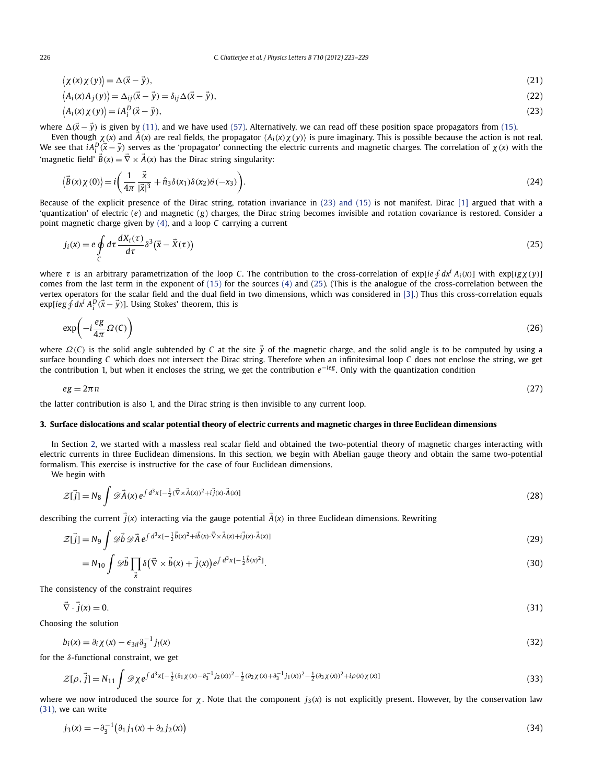$$
\langle \chi(x)\chi(y)\rangle = \Delta(\vec{x} - \vec{y}),\tag{21}
$$

$$
\langle A_i(x)A_j(y) \rangle = \Delta_{ij}(\vec{x} - \vec{y}) = \delta_{ij}\Delta(\vec{x} - \vec{y}),
$$
\n(22)

$$
\langle A_i(x)\chi(y)\rangle = i A_i^D(\vec{x} - \vec{y}),\tag{23}
$$

where  $\Delta(\vec{x} - \vec{y})$  is given by [\(11\),](#page-1-0) and we have used [\(57\).](#page-6-0) Alternatively, we can read off these position space propagators from [\(15\).](#page-2-0)

Even though  $\chi(x)$  and  $A(x)$  are real fields, the propagator  $\langle A_i(x)\chi(y)\rangle$  is pure imaginary. This is possible because the action is not real. We see that  $iA_i^D(\vec{x}-\vec{y})$  serves as the 'propagator' connecting the electric currents and magnetic charges. The correlation of  $\chi(x)$  with the 'magnetic field'  $\vec{B}(x) = \vec{\nabla} \times \vec{A}(x)$  has the Dirac string singularity:

$$
\langle \vec{B}(x)\chi(0)\rangle = i\left(\frac{1}{4\pi} \frac{\vec{x}}{|\vec{x}|^3} + \hat{n}_3 \delta(x_1) \delta(x_2) \theta(-x_3)\right). \tag{24}
$$

Because of the explicit presence of the Dirac string, rotation invariance in (23) and (15) is not manifest. Dirac [\[1\]](#page-6-0) argued that with a 'quantization' of electric (*e*) and magnetic (*g*) charges, the Dirac string becomes invisible and rotation covariance is restored. Consider a point magnetic charge given by [\(4\),](#page-1-0) and a loop *C* carrying a current

$$
j_i(x) = e \oint_C d\tau \frac{dX_i(\tau)}{d\tau} \delta^3(\vec{x} - \vec{X}(\tau))
$$
\n(25)

where  $\tau$  is an arbitrary parametrization of the loop C. The contribution to the cross-correlation of explie  $\oint dx^i A_i(x)$  with  $\exp[ig\chi(y)]$ comes from the last term in the exponent of [\(15\)](#page-2-0) for the sources [\(4\)](#page-1-0) and (25). (This is the analogue of the cross-correlation between the vertex operators for the scalar field and the dual field in two dimensions, which was considered in [\[3\].](#page-6-0)) Thus this cross-correlation equals exp[ $i$ eg  $\oint dx^i A_i^D(\vec{x}-\vec{y})$ ]. Using Stokes' theorem, this is

$$
\exp\left(-i\frac{eg}{4\pi}\Omega(C)\right) \tag{26}
$$

where  $\Omega(C)$  is the solid angle subtended by *C* at the site  $\vec{y}$  of the magnetic charge, and the solid angle is to be computed by using a surface bounding *C* which does not intersect the Dirac string. Therefore when an infinitesimal loop *C* does not enclose the string, we get the contribution 1, but when it encloses the string, we get the contribution *e*−*ieg* . Only with the quantization condition

$$
eg = 2\pi n \tag{27}
$$

the latter contribution is also 1, and the Dirac string is then invisible to any current loop.

#### **3. Surface dislocations and scalar potential theory of electric currents and magnetic charges in three Euclidean dimensions**

In Section [2,](#page-1-0) we started with a massless real scalar field and obtained the two-potential theory of magnetic charges interacting with electric currents in three Euclidean dimensions. In this section, we begin with Abelian gauge theory and obtain the same two-potential formalism. This exercise is instructive for the case of four Euclidean dimensions.

We begin with

$$
\mathcal{Z}[\vec{j}] = N_8 \int \mathscr{D}\vec{A}(x) e^{\int d^3x \left[-\frac{1}{2}(\vec{\nabla} \times \vec{A}(x))^2 + i\vec{j}(x) \cdot \vec{A}(x)\right]}
$$
(28)

describing the current  $\vec{j}(x)$  interacting via the gauge potential  $\vec{A}(x)$  in three Euclidean dimensions. Rewriting

$$
\mathcal{Z}[\vec{j}] = N_9 \int \mathscr{D}\vec{b} \mathscr{D}\vec{A} e^{\int d^3x \left[-\frac{1}{2}\vec{b}(x)^2 + i\vec{b}(x)\cdot\vec{\nabla}\times\vec{A}(x) + i\vec{j}(x)\cdot\vec{A}(x)\right]}
$$
(29)

$$
= N_{10} \int \mathscr{D}\vec{b} \prod_{\vec{x}} \delta(\vec{\nabla} \times \vec{b}(x) + \vec{j}(x)) e^{\int d^3x \left[ -\frac{1}{2} \vec{b}(x)^2 \right]}.
$$
 (30)

The consistency of the constraint requires

$$
\vec{\nabla} \cdot \vec{j}(x) = 0. \tag{31}
$$

Choosing the solution

$$
b_i(x) = \partial_i \chi(x) - \epsilon_{3il} \partial_3^{-1} j_l(x) \tag{32}
$$

for the *δ*-functional constraint, we get

$$
\mathcal{Z}[\rho, \vec{j}] = N_{11} \int \mathcal{D}\chi e^{\int d^3x \left[-\frac{1}{2}(\partial_1\chi(x) - \partial_3^{-1}j_2(x))^2 - \frac{1}{2}(\partial_2\chi(x) + \partial_3^{-1}j_1(x))^2 - \frac{1}{2}(\partial_3\chi(x))^2 + i\rho(x)\chi(x)\right]} (33)
$$

where we now introduced the source for  $\chi$ . Note that the component  $j_3(x)$  is not explicitly present. However, by the conservation law (31), we can write

$$
j_3(x) = -\partial_3^{-1} \big( \partial_1 j_1(x) + \partial_2 j_2(x) \big) \tag{34}
$$

<span id="page-3-0"></span>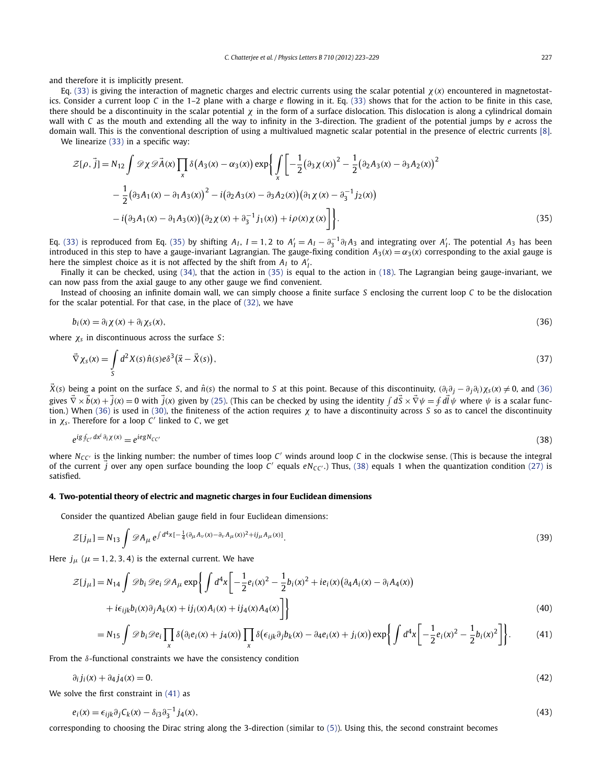<span id="page-4-0"></span>and therefore it is implicitly present.

Eq. [\(33\)](#page-3-0) is giving the interaction of magnetic charges and electric currents using the scalar potential *χ(x)* encountered in magnetostatics. Consider a current loop *C* in the 1–2 plane with a charge *e* flowing in it. Eq. [\(33\)](#page-3-0) shows that for the action to be finite in this case, there should be a discontinuity in the scalar potential  $\chi$  in the form of a surface dislocation. This dislocation is along a cylindrical domain wall with *C* as the mouth and extending all the way to infinity in the 3-direction. The gradient of the potential jumps by *e* across the domain wall. This is the conventional description of using a multivalued magnetic scalar potential in the presence of electric currents [\[8\].](#page-6-0) We linearize [\(33\)](#page-3-0) in a specific way:

$$
\mathcal{Z}[\rho, \vec{j}] = N_{12} \int \mathcal{D}\chi \mathcal{D}\vec{A}(x) \prod_{x} \delta(A_3(x) - \alpha_3(x)) \exp\left\{ \int_{x} \left[ -\frac{1}{2} (\partial_3 \chi(x))^{2} - \frac{1}{2} (\partial_2 A_3(x) - \partial_3 A_2(x))^{2} - \frac{1}{2} (\partial_3 A_1(x) - \partial_1 A_3(x))^{2} - i (\partial_2 A_3(x) - \partial_3 A_2(x)) (\partial_1 \chi(x) - \partial_3^{-1} j_2(x)) - i (\partial_3 A_1(x) - \partial_1 A_3(x)) (\partial_2 \chi(x) + \partial_3^{-1} j_1(x)) + i \rho(x) \chi(x) \right] \right\}.
$$
\n(35)

Eq. [\(33\)](#page-3-0) is reproduced from Eq. (35) by shifting  $A_I$ ,  $I = 1, 2$  to  $A_I' = A_I - \partial_3^{-1} \partial_I A_3$  and integrating over  $A_I'$ . The potential  $A_3$  has been introduced in this step to have a gauge-invariant Lagrangian. The gauge-fixing condition  $A_3(x) = \alpha_3(x)$  corresponding to the axial gauge is here the simplest choice as it is not affected by the shift from  $A_I$  to  $A_I'$ .

Finally it can be checked, using [\(34\),](#page-3-0) that the action in (35) is equal to the action in [\(18\).](#page-2-0) The Lagrangian being gauge-invariant, we can now pass from the axial gauge to any other gauge we find convenient.

Instead of choosing an infinite domain wall, we can simply choose a finite surface *S* enclosing the current loop *C* to be the dislocation for the scalar potential. For that case, in the place of [\(32\),](#page-3-0) we have

$$
b_i(x) = \partial_i \chi(x) + \partial_i \chi_s(x), \tag{36}
$$

where *χ<sup>s</sup>* in discontinuous across the surface *S*:

$$
\vec{\nabla}\chi_{\mathcal{S}}(x) = \int\limits_{\mathcal{S}} d^2X(\mathcal{S})\,\hat{n}(\mathcal{S})e\delta^3(\vec{x}-\vec{X}(\mathcal{S})),\tag{37}
$$

 $\bar{X}(s)$  being a point on the surface S, and  $\hat{n}(s)$  the normal to S at this point. Because of this discontinuity,  $(\partial_i \partial_i - \partial_i \partial_i) \chi_s(x) \neq 0$ , and (36) gives  $\nabla \times b(x) + j(x) = 0$  with  $j(x)$  given by [\(25\).](#page-3-0) (This can be checked by using the identity  $\int dS \times \nabla \psi = \oint dl \psi$  where  $\psi$  is a scalar function.) When (36) is used in [\(30\),](#page-3-0) the finiteness of the action requires *χ* to have a discontinuity across *S* so as to cancel the discontinuity in  $\chi$ <sub>s</sub>. Therefore for a loop  $C'$  linked to  $C$ , we get

$$
e^{ig \oint_{\mathcal{C}'} dx^i \partial_i \chi(x)} = e^{iegN_{\mathcal{C}C'}} \tag{38}
$$

where  $N_{CC}$  is the linking number: the number of times loop  $C'$  winds around loop  $C$  in the clockwise sense. (This is because the integral of the current  $\vec{j}$  over any open surface bounding the loop C' equals  $eN_{CC}$ .) Thus, (38) equals 1 when the quantization condition [\(27\)](#page-3-0) is satisfied.

## **4. Two-potential theory of electric and magnetic charges in four Euclidean dimensions**

Consider the quantized Abelian gauge field in four Euclidean dimensions:

$$
\mathcal{Z}[j_{\mu}] = N_{13} \int \mathcal{D}A_{\mu} e^{\int d^4x \left[-\frac{1}{4}(\partial_{\mu}A_{\nu}(x) - \partial_{\nu}A_{\mu}(x))^{2} + i j_{\mu}A_{\mu}(x)\right]}.
$$
\n(39)

Here  $j_{\mu}$  ( $\mu$  = 1, 2, 3, 4) is the external current. We have

$$
\mathcal{Z}[j_{\mu}] = N_{14} \int \mathcal{D}b_{i} \mathcal{D}e_{i} \mathcal{D}A_{\mu} \exp\left\{\int d^{4}x \left[ -\frac{1}{2}e_{i}(x)^{2} - \frac{1}{2}b_{i}(x)^{2} + ie_{i}(x)(\partial_{4}A_{i}(x) - \partial_{i}A_{4}(x)) + ie_{ijk}b_{i}(x)\partial_{j}A_{k}(x) + ij_{i}(x)A_{i}(x) + ij_{4}(x)A_{4}(x) \right] \right\}
$$
\n(40)

$$
=N_{15}\int\mathscr{D}b_{i}\mathscr{D}e_{i}\prod_{x}\delta\big(\partial_{i}e_{i}(x)+j_{4}(x)\big)\prod_{x}\delta\big(\epsilon_{ijk}\partial_{j}b_{k}(x)-\partial_{4}e_{i}(x)+j_{i}(x)\big)\exp\bigg\{\int d^{4}x\bigg[-\frac{1}{2}e_{i}(x)^{2}-\frac{1}{2}b_{i}(x)^{2}\bigg]\bigg\}.
$$
 (41)

From the *δ*-functional constraints we have the consistency condition

$$
\partial_i j_i(x) + \partial_4 j_4(x) = 0. \tag{42}
$$

We solve the first constraint in  $(41)$  as

$$
e_i(x) = \epsilon_{ijk}\partial_j C_k(x) - \delta_{i3}\partial_j^{-1} j_4(x),\tag{43}
$$

corresponding to choosing the Dirac string along the 3-direction (similar to [\(5\)\)](#page-1-0). Using this, the second constraint becomes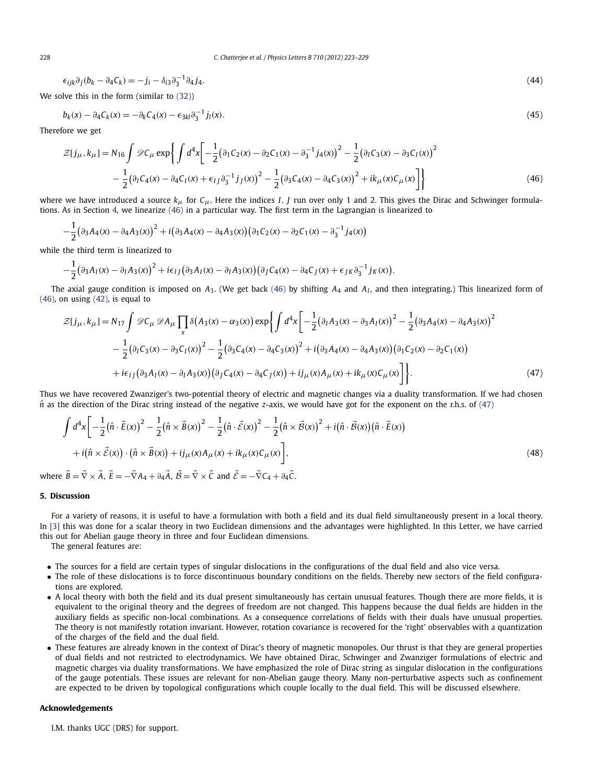$$
\epsilon_{ijk}\partial_j(b_k - \partial_4 c_k) = -j_i - \delta_{i3}\partial_3^{-1}\partial_4 j_4. \tag{44}
$$

We solve this in the form (similar to [\(32\)\)](#page-3-0)

$$
b_k(x) - \partial_4 C_k(x) = -\partial_k C_4(x) - \epsilon_{3kl}\partial_3^{-1}j_l(x).
$$
\n(45)

Therefore we get

$$
\mathcal{Z}[j_{\mu},k_{\mu}] = N_{16} \int \mathcal{D}C_{\mu} \exp \left\{ \int d^{4}x \left[ -\frac{1}{2} \left( \partial_{1}C_{2}(x) - \partial_{2}C_{1}(x) - \partial_{3}^{-1}j_{4}(x) \right)^{2} - \frac{1}{2} \left( \partial_{1}C_{3}(x) - \partial_{3}C_{1}(x) \right)^{2} - \frac{1}{2} \left( \partial_{1}C_{4}(x) - \partial_{4}C_{1}(x) + \epsilon_{IJ} \partial_{3}^{-1}j_{J}(x) \right)^{2} - \frac{1}{2} \left( \partial_{3}C_{4}(x) - \partial_{4}C_{3}(x) \right)^{2} + i k_{\mu}(x) C_{\mu}(x) \right] \right\}
$$
(46)

where we have introduced a source *kμ* for *Cμ*. Here the indices *I, J* run over only 1 and 2. This gives the Dirac and Schwinger formulations. As in Section [4,](#page-4-0) we linearize (46) in a particular way. The first term in the Lagrangian is linearized to

$$
-\frac{1}{2}(\partial_3A_4(x) - \partial_4A_3(x))^2 + i(\partial_3A_4(x) - \partial_4A_3(x))(\partial_1C_2(x) - \partial_2C_1(x) - \partial_3^{-1}j_4(x))
$$

while the third term is linearized to

$$
-\frac{1}{2}(\partial_3A_I(x)-\partial_IA_3(x))^2+i\epsilon_{IJ}(\partial_3A_I(x)-\partial_IA_3(x))(\partial_JC_4(x)-\partial_4C_J(x)+\epsilon_{JK}\partial_3^{-1}j_K(x)).
$$

The axial gauge condition is imposed on *A*3. (We get back (46) by shifting *A*<sup>4</sup> and *AI* , and then integrating.) This linearized form of  $(46)$ , on using  $(42)$ , is equal to

$$
\mathcal{Z}[j_{\mu},k_{\mu}] = N_{17} \int \mathcal{D}C_{\mu} \mathcal{D}A_{\mu} \prod_{x} \delta(A_{3}(x) - \alpha_{3}(x)) \exp\left\{ \int d^{4}x \left[ -\frac{1}{2} (\partial_{I}A_{3}(x) - \partial_{3}A_{I}(x))^{2} - \frac{1}{2} (\partial_{3}A_{4}(x) - \partial_{4}A_{3}(x))^{2} \right. \right. \\ \left. - \frac{1}{2} (\partial_{I}C_{3}(x) - \partial_{3}C_{I}(x))^{2} - \frac{1}{2} (\partial_{3}C_{4}(x) - \partial_{4}C_{3}(x))^{2} + i (\partial_{3}A_{4}(x) - \partial_{4}A_{3}(x)) (\partial_{1}C_{2}(x) - \partial_{2}C_{1}(x)) \right. \\ \left. + i\epsilon_{IJ} (\partial_{3}A_{I}(x) - \partial_{I}A_{3}(x)) (\partial_{J}C_{4}(x) - \partial_{4}C_{J}(x)) + i j_{\mu}(x) A_{\mu}(x) + i k_{\mu}(x) C_{\mu}(x) \right] \right\}.
$$
 (47)

Thus we have recovered Zwanziger's two-potential theory of electric and magnetic changes via a duality transformation. If we had chosen  $\hat{n}$  as the direction of the Dirac string instead of the negative *z*-axis, we would have got for the exponent on the r.h.s. of (47)

$$
\int d^4x \left[ -\frac{1}{2} (\hat{n} \cdot \vec{E}(x))^2 - \frac{1}{2} (\hat{n} \times \vec{B}(x))^2 - \frac{1}{2} (\hat{n} \cdot \vec{E}(x))^2 - \frac{1}{2} (\hat{n} \times \vec{B}(x))^2 + i (\hat{n} \cdot \vec{B}(x)) (\hat{n} \cdot \vec{E}(x)) + i (\hat{n} \times \vec{E}(x)) \cdot (\hat{n} \times \vec{B}(x)) + i j_\mu(x) A_\mu(x) + i k_\mu(x) C_\mu(x) \right],
$$
\n
$$
(\hat{n} \times \vec{E}(x)) \cdot (\hat{n} \times \vec{B}(x)) + i j_\mu(x) A_\mu(x) + i k_\mu(x) C_\mu(x) \right],
$$
\n
$$
(\hat{n} \times \vec{E}(x)) \cdot (\hat{n} \times \vec{B}(x)) + i j_\mu(x) A_\mu(x) + i k_\mu(x) C_\mu(x) \right].
$$
\n
$$
(48)
$$

where  $B = \nabla \times A$ ,  $E = -\nabla A_4 + \partial_4 A$ ,  $B = \nabla \times C$  and  $\mathcal{E} = -\nabla C_4 + \partial_4 C$ .

#### **5. Discussion**

For a variety of reasons, it is useful to have a formulation with both a field and its dual field simultaneously present in a local theory. In [\[3\]](#page-6-0) this was done for a scalar theory in two Euclidean dimensions and the advantages were highlighted. In this Letter, we have carried this out for Abelian gauge theory in three and four Euclidean dimensions.

The general features are:

- The sources for a field are certain types of singular dislocations in the configurations of the dual field and also vice versa.
- The role of these dislocations is to force discontinuous boundary conditions on the fields. Thereby new sectors of the field configurations are explored.
- A local theory with both the field and its dual present simultaneously has certain unusual features. Though there are more fields, it is equivalent to the original theory and the degrees of freedom are not changed. This happens because the dual fields are hidden in the auxiliary fields as specific non-local combinations. As a consequence correlations of fields with their duals have unusual properties. The theory is not manifestly rotation invariant. However, rotation covariance is recovered for the 'right' observables with a quantization of the charges of the field and the dual field.
- These features are already known in the context of Dirac's theory of magnetic monopoles. Our thrust is that they are general properties of dual fields and not restricted to electrodynamics. We have obtained Dirac, Schwinger and Zwanziger formulations of electric and magnetic charges via duality transformations. We have emphasized the role of Dirac string as singular dislocation in the configurations of the gauge potentials. These issues are relevant for non-Abelian gauge theory. Many non-perturbative aspects such as confinement are expected to be driven by topological configurations which couple locally to the dual field. This will be discussed elsewhere.

## **Acknowledgements**

I.M. thanks UGC (DRS) for support.

<span id="page-5-0"></span>